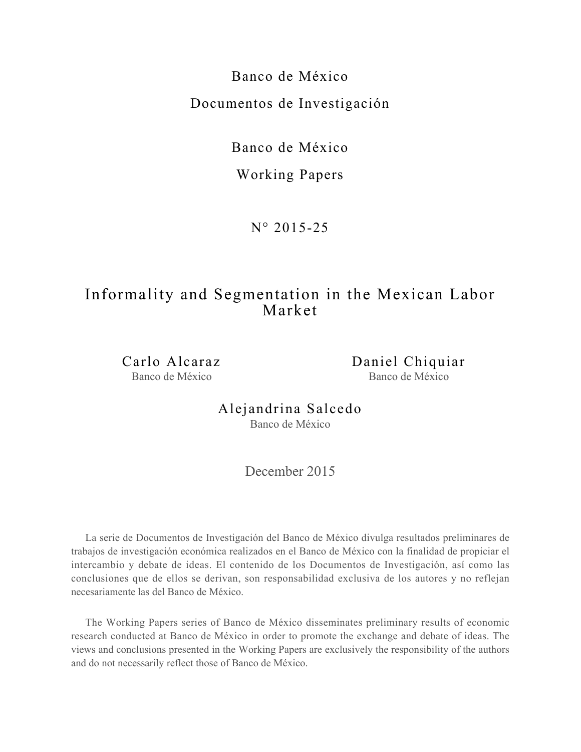Banco de México Documentos de Investigación

Banco de México

Working Papers

N° 2015-25

# Informality and Segmentation in the Mexican Labor Market

Carlo Alcaraz Banco de México

Daniel Chiquiar Banco de México

Alejandrina Salcedo Banco de México

December 2015

La serie de Documentos de Investigación del Banco de México divulga resultados preliminares de trabajos de investigación económica realizados en el Banco de México con la finalidad de propiciar el intercambio y debate de ideas. El contenido de los Documentos de Investigación, así como las conclusiones que de ellos se derivan, son responsabilidad exclusiva de los autores y no reflejan necesariamente las del Banco de México.

The Working Papers series of Banco de México disseminates preliminary results of economic research conducted at Banco de México in order to promote the exchange and debate of ideas. The views and conclusions presented in the Working Papers are exclusively the responsibility of the authors and do not necessarily reflect those of Banco de México.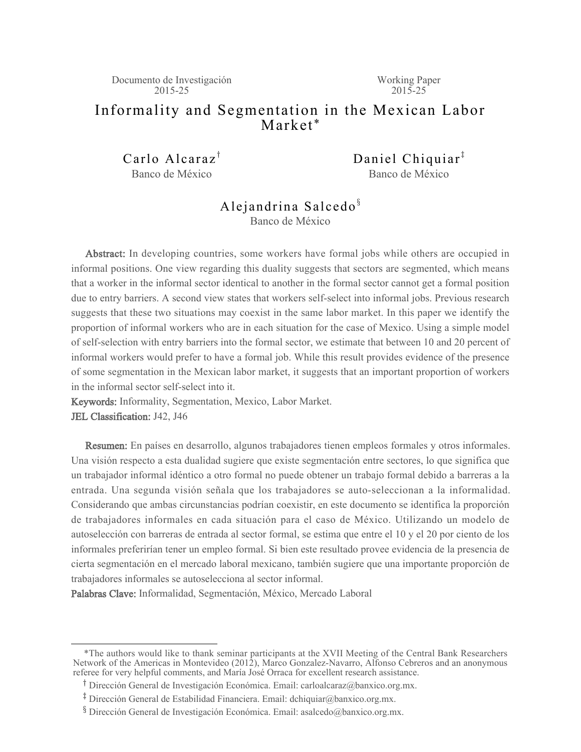Documento de Investigación 2015-25

Working Paper  $2015 - 25$ 

## Informality and Segmentation in the Mexican Labor Market \*

Carlo Alcaraz<sup> $<sup>†</sup>$ </sup></sup> Banco de México

Daniel Chiquiar $<sup>‡</sup>$ </sup> Banco de México

# Alejandrina Salcedo ${}^{\S}$

Banco de México

Abstract: In developing countries, some workers have formal jobs while others are occupied in informal positions. One view regarding this duality suggests that sectors are segmented, which means that a worker in the informal sector identical to another in the formal sector cannot get a formal position due to entry barriers. A second view states that workers self-select into informal jobs. Previous research suggests that these two situations may coexist in the same labor market. In this paper we identify the proportion of informal workers who are in each situation for the case of Mexico. Using a simple model of self-selection with entry barriers into the formal sector, we estimate that between 10 and 20 percent of informal workers would prefer to have a formal job. While this result provides evidence of the presence of some segmentation in the Mexican labor market, it suggests that an important proportion of workers in the informal sector self-select into it.

Keywords: Informality, Segmentation, Mexico, Labor Market. JEL Classification: J42, J46

Resumen: En países en desarrollo, algunos trabajadores tienen empleos formales y otros informales. Una visión respecto a esta dualidad sugiere que existe segmentación entre sectores, lo que significa que un trabajador informal idéntico a otro formal no puede obtener un trabajo formal debido a barreras a la entrada. Una segunda visión señala que los trabajadores se auto-seleccionan a la informalidad. Considerando que ambas circunstancias podrían coexistir, en este documento se identifica la proporción de trabajadores informales en cada situación para el caso de México. Utilizando un modelo de autoselección con barreras de entrada al sector formal, se estima que entre el 10 y el 20 por ciento de los informales preferirían tener un empleo formal. Si bien este resultado provee evidencia de la presencia de cierta segmentación en el mercado laboral mexicano, también sugiere que una importante proporción de trabajadores informales se autoselecciona al sector informal.

Palabras Clave: Informalidad, Segmentación, México, Mercado Laboral

 <sup>\*</sup>The authors would like to thank seminar participants at the XVII Meeting of the Central Bank Researchers Network of the Americas in Montevideo (2012), Marco Gonzalez-Navarro, Alfonso Cebreros and an anonymous referee for very helpful comments, and María José Orraca for excellent research assistance.

<sup>&</sup>lt;sup>T</sup> Dirección General de Investigación Económica. Email: carloalcaraz@banxico.org.mx.

<sup>&</sup>lt;sup>‡</sup> Dirección General de Estabilidad Financiera. Email: dchiquiar@banxico.org.mx.

<sup>&</sup>lt;sup>8</sup> Dirección General de Investigación Económica. Email: asalcedo@banxico.org.mx.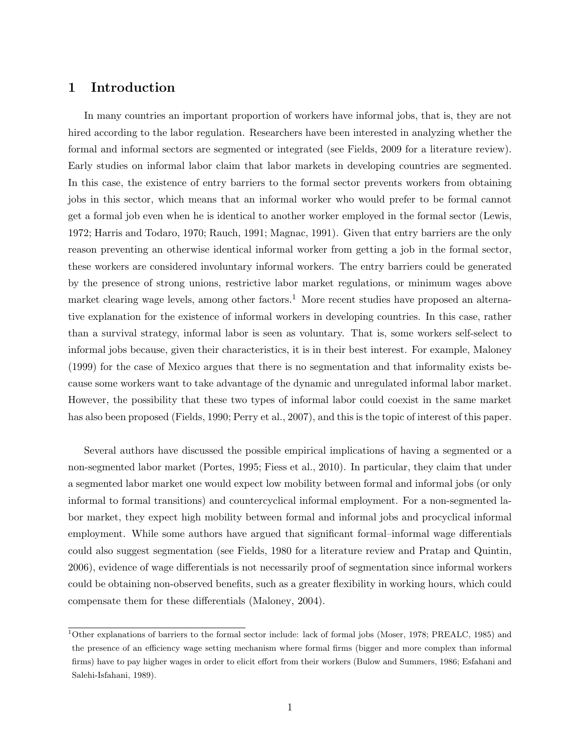#### $\mathbf 1$ Introduction

In many countries an important proportion of workers have informal jobs, that is, they are not hired according to the labor regulation. Researchers have been interested in analyzing whether the formal and informal sectors are segmented or integrated (see Fields, 2009 for a literature review). Early studies on informal labor claim that labor markets in developing countries are segmented. In this case, the existence of entry barriers to the formal sector prevents workers from obtaining jobs in this sector, which means that an informal worker who would prefer to be formal cannot get a formal job even when he is identical to another worker employed in the formal sector (Lewis, 1972; Harris and Todaro, 1970; Rauch, 1991; Magnac, 1991). Given that entry barriers are the only reason preventing an otherwise identical informal worker from getting a job in the formal sector, these workers are considered involuntary informal workers. The entry barriers could be generated by the presence of strong unions, restrictive labor market regulations, or minimum wages above market clearing wage levels, among other factors.<sup>1</sup> More recent studies have proposed an alternative explanation for the existence of informal workers in developing countries. In this case, rather than a survival strategy, informal labor is seen as voluntary. That is, some workers self-select to informal jobs because, given their characteristics, it is in their best interest. For example, Maloney (1999) for the case of Mexico argues that there is no segmentation and that informality exists because some workers want to take advantage of the dynamic and unregulated informal labor market. However, the possibility that these two types of informal labor could coexist in the same market has also been proposed (Fields, 1990; Perry et al., 2007), and this is the topic of interest of this paper.

Several authors have discussed the possible empirical implications of having a segmented or a non-segmented labor market (Portes, 1995; Fiess et al., 2010). In particular, they claim that under a segmented labor market one would expect low mobility between formal and informal jobs (or only informal to formal transitions) and countercyclical informal employment. For a non-segmented labor market, they expect high mobility between formal and informal jobs and procyclical informal employment. While some authors have argued that significant formal-informal wage differentials could also suggest segmentation (see Fields, 1980 for a literature review and Pratap and Quintin, 2006), evidence of wage differentials is not necessarily proof of segmentation since informal workers could be obtaining non-observed benefits, such as a greater flexibility in working hours, which could compensate them for these differentials (Maloney, 2004).

<sup>&</sup>lt;sup>1</sup>Other explanations of barriers to the formal sector include: lack of formal jobs (Moser, 1978; PREALC, 1985) and the presence of an efficiency wage setting mechanism where formal firms (bigger and more complex than informal firms) have to pay higher wages in order to elicit effort from their workers (Bulow and Summers, 1986; Esfahani and Salehi-Isfahani, 1989).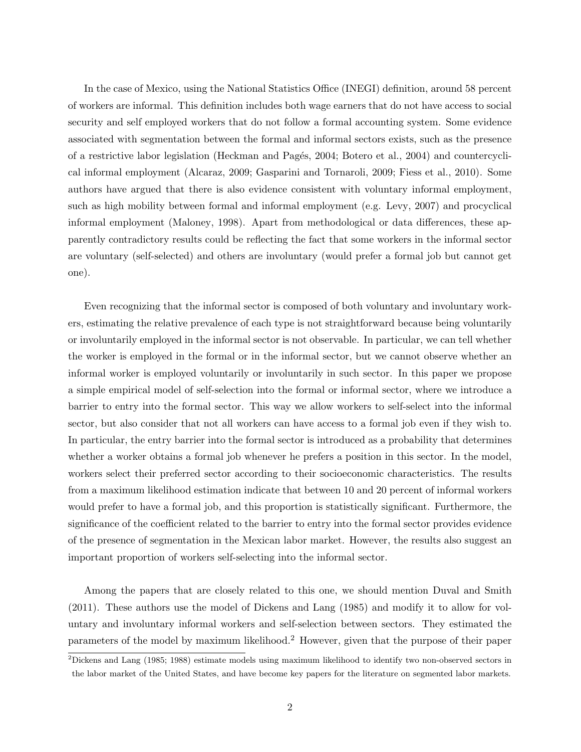In the case of Mexico, using the National Statistics Office (INEGI) definition, around 58 percent of workers are informal. This definition includes both wage earners that do not have access to social security and self employed workers that do not follow a formal accounting system. Some evidence associated with segmentation between the formal and informal sectors exists, such as the presence of a restrictive labor legislation (Heckman and Pagés, 2004; Botero et al., 2004) and countercyclical informal employment (Alcaraz, 2009; Gasparini and Tornaroli, 2009; Fiess et al., 2010). Some authors have argued that there is also evidence consistent with voluntary informal employment, such as high mobility between formal and informal employment (e.g. Levy, 2007) and procyclical informal employment (Maloney, 1998). Apart from methodological or data differences, these apparently contradictory results could be reflecting the fact that some workers in the informal sector are voluntary (self-selected) and others are involuntary (would prefer a formal job but cannot get one).

Even recognizing that the informal sector is composed of both voluntary and involuntary workers, estimating the relative prevalence of each type is not straightforward because being voluntarily or involuntarily employed in the informal sector is not observable. In particular, we can tell whether the worker is employed in the formal or in the informal sector, but we cannot observe whether an informal worker is employed voluntarily or involuntarily in such sector. In this paper we propose a simple empirical model of self-selection into the formal or informal sector, where we introduce a barrier to entry into the formal sector. This way we allow workers to self-select into the informal sector, but also consider that not all workers can have access to a formal job even if they wish to. In particular, the entry barrier into the formal sector is introduced as a probability that determines whether a worker obtains a formal job whenever he prefers a position in this sector. In the model, workers select their preferred sector according to their socioeconomic characteristics. The results from a maximum likelihood estimation indicate that between 10 and 20 percent of informal workers would prefer to have a formal job, and this proportion is statistically significant. Furthermore, the significance of the coefficient related to the barrier to entry into the formal sector provides evidence of the presence of segmentation in the Mexican labor market. However, the results also suggest an important proportion of workers self-selecting into the informal sector.

Among the papers that are closely related to this one, we should mention Duval and Smith  $(2011)$ . These authors use the model of Dickens and Lang  $(1985)$  and modify it to allow for voluntary and involuntary informal workers and self-selection between sectors. They estimated the parameters of the model by maximum likelihood.<sup>2</sup> However, given that the purpose of their paper

 ${}^{2}$ Dickens and Lang (1985; 1988) estimate models using maximum likelihood to identify two non-observed sectors in the labor market of the United States, and have become key papers for the literature on segmented labor markets.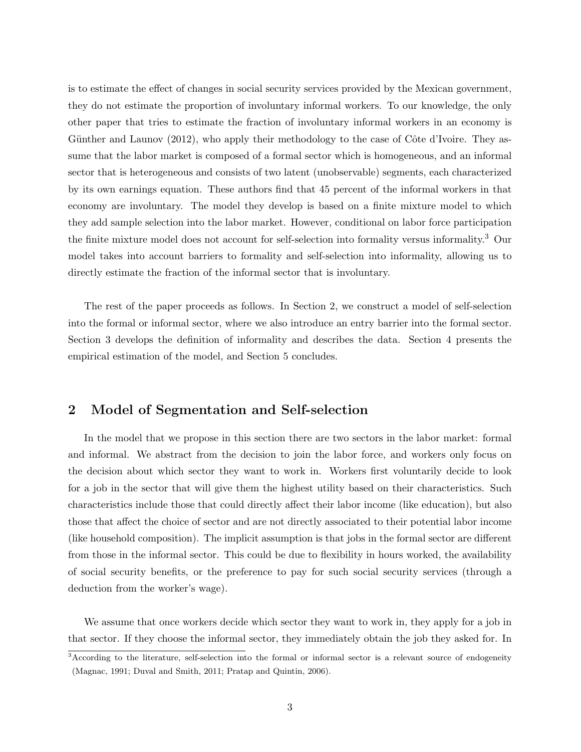is to estimate the effect of changes in social security services provided by the Mexican government, they do not estimate the proportion of involuntary informal workers. To our knowledge, the only other paper that tries to estimate the fraction of involuntary informal workers in an economy is Günther and Launov (2012), who apply their methodology to the case of Côte d'Ivoire. They assume that the labor market is composed of a formal sector which is homogeneous, and an informal sector that is heterogeneous and consists of two latent (unobservable) segments, each characterized by its own earnings equation. These authors find that 45 percent of the informal workers in that economy are involuntary. The model they develop is based on a finite mixture model to which they add sample selection into the labor market. However, conditional on labor force participation the finite mixture model does not account for self-selection into formality versus informality.<sup>3</sup> Our model takes into account barriers to formality and self-selection into informality, allowing us to directly estimate the fraction of the informal sector that is involuntary.

The rest of the paper proceeds as follows. In Section 2, we construct a model of self-selection into the formal or informal sector, where we also introduce an entry barrier into the formal sector. Section 3 develops the definition of informality and describes the data. Section 4 presents the empirical estimation of the model, and Section 5 concludes.

#### $\overline{2}$ Model of Segmentation and Self-selection

In the model that we propose in this section there are two sectors in the labor market: formal and informal. We abstract from the decision to join the labor force, and workers only focus on the decision about which sector they want to work in. Workers first voluntarily decide to look for a job in the sector that will give them the highest utility based on their characteristics. Such characteristics include those that could directly affect their labor income (like education), but also those that affect the choice of sector and are not directly associated to their potential labor income (like household composition). The implicit assumption is that jobs in the formal sector are different from those in the informal sector. This could be due to flexibility in hours worked, the availability of social security benefits, or the preference to pay for such social security services (through a deduction from the worker's wage).

We assume that once workers decide which sector they want to work in, they apply for a job in that sector. If they choose the informal sector, they immediately obtain the job they asked for. In

<sup>&</sup>lt;sup>3</sup>According to the literature, self-selection into the formal or informal sector is a relevant source of endogeneity (Magnac, 1991; Duval and Smith, 2011; Pratap and Quintin, 2006).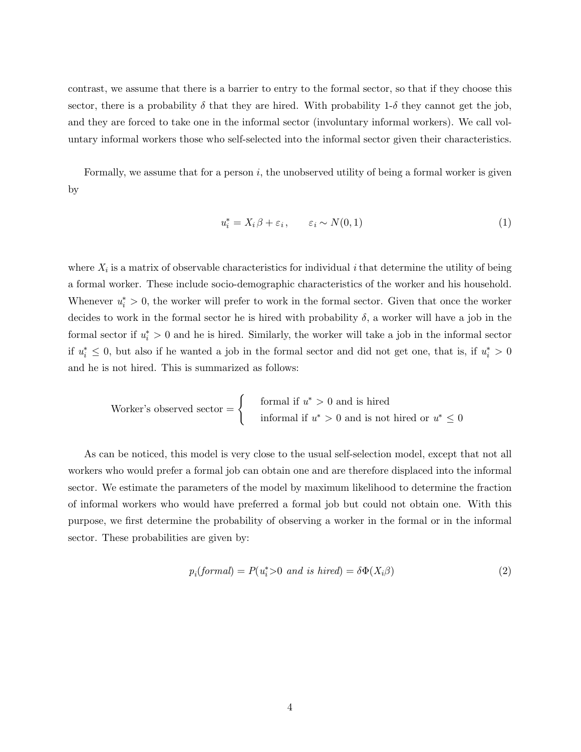contrast, we assume that there is a barrier to entry to the formal sector, so that if they choose this sector, there is a probability  $\delta$  that they are hired. With probability 1- $\delta$  they cannot get the job, and they are forced to take one in the informal sector (involuntary informal workers). We call voluntary informal workers those who self-selected into the informal sector given their characteristics.

Formally, we assume that for a person  $i$ , the unobserved utility of being a formal worker is given by

$$
u_i^* = X_i \beta + \varepsilon_i, \qquad \varepsilon_i \sim N(0, 1) \tag{1}
$$

where  $X_i$  is a matrix of observable characteristics for individual i that determine the utility of being a formal worker. These include socio-demographic characteristics of the worker and his household. Whenever  $u_i^* > 0$ , the worker will prefer to work in the formal sector. Given that once the worker decides to work in the formal sector he is hired with probability  $\delta$ , a worker will have a job in the formal sector if  $u_i^* > 0$  and he is hired. Similarly, the worker will take a job in the informal sector if  $u_i^* \leq 0$ , but also if he wanted a job in the formal sector and did not get one, that is, if  $u_i^* > 0$ and he is not hired. This is summarized as follows:

Worker's observed sector =

\n
$$
\begin{cases}\n\text{formal if } u^* > 0 \text{ and is hired} \\
\text{informal if } u^* > 0 \text{ and is not hired or } u^* \leq 0\n\end{cases}
$$

As can be noticed, this model is very close to the usual self-selection model, except that not all workers who would prefer a formal job can obtain one and are therefore displaced into the informal sector. We estimate the parameters of the model by maximum likelihood to determine the fraction of informal workers who would have preferred a formal job but could not obtain one. With this purpose, we first determine the probability of observing a worker in the formal or in the informal sector. These probabilities are given by:

$$
p_i(formal) = P(u_i^* > 0 \text{ and is hired}) = \delta \Phi(X_i \beta)
$$
\n<sup>(2)</sup>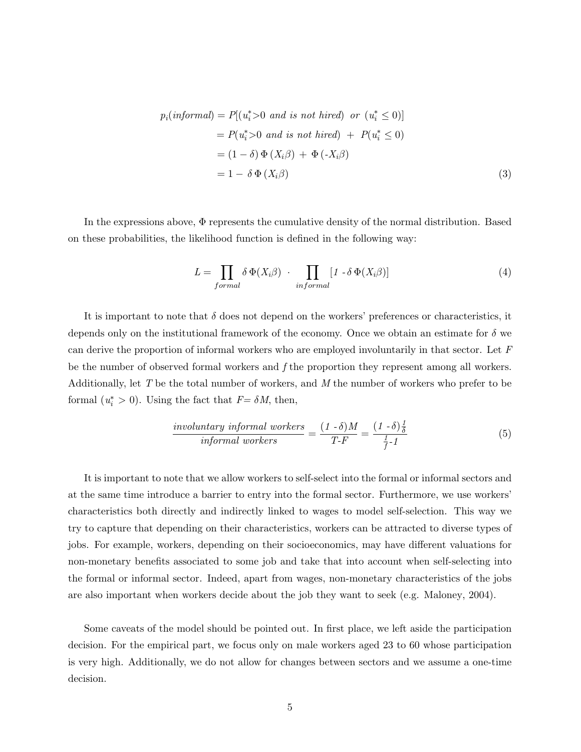$$
p_i(informal) = P[(u_i^* > 0 \text{ and is not hired}) \text{ or } (u_i^* \le 0)]
$$
  
= 
$$
P(u_i^* > 0 \text{ and is not hired}) + P(u_i^* \le 0)
$$
  
= 
$$
(1 - \delta) \Phi(X_i \beta) + \Phi(-X_i \beta)
$$
  
= 
$$
1 - \delta \Phi(X_i \beta)
$$
 (3)

In the expressions above,  $\Phi$  represents the cumulative density of the normal distribution. Based on these probabilities, the likelihood function is defined in the following way:

$$
L = \prod_{formal} \delta \Phi(X_i \beta) \cdot \prod_{informationiformal} [1 - \delta \Phi(X_i \beta)] \tag{4}
$$

It is important to note that  $\delta$  does not depend on the workers' preferences or characteristics, it depends only on the institutional framework of the economy. Once we obtain an estimate for  $\delta$  we can derive the proportion of informal workers who are employed involuntarily in that sector. Let  $F$ be the number of observed formal workers and  $f$  the proportion they represent among all workers. Additionally, let T be the total number of workers, and M the number of workers who prefer to be formal  $(u_i^* > 0)$ . Using the fact that  $F = \delta M$ , then,

$$
\frac{involutary\ informal\ workers}{informal\ workers} = \frac{(1-\delta)M}{T-F} = \frac{(1-\delta)\frac{1}{\delta}}{\frac{1}{f}\cdot 1}
$$
(5)

It is important to note that we allow workers to self-select into the formal or informal sectors and at the same time introduce a barrier to entry into the formal sector. Furthermore, we use workers' characteristics both directly and indirectly linked to wages to model self-selection. This way we try to capture that depending on their characteristics, workers can be attracted to diverse types of jobs. For example, workers, depending on their socioeconomics, may have different valuations for non-monetary benefits associated to some job and take that into account when self-selecting into the formal or informal sector. Indeed, apart from wages, non-monetary characteristics of the jobs are also important when workers decide about the job they want to seek (e.g. Maloney, 2004).

Some caveats of the model should be pointed out. In first place, we left aside the participation decision. For the empirical part, we focus only on male workers aged 23 to 60 whose participation is very high. Additionally, we do not allow for changes between sectors and we assume a one-time decision.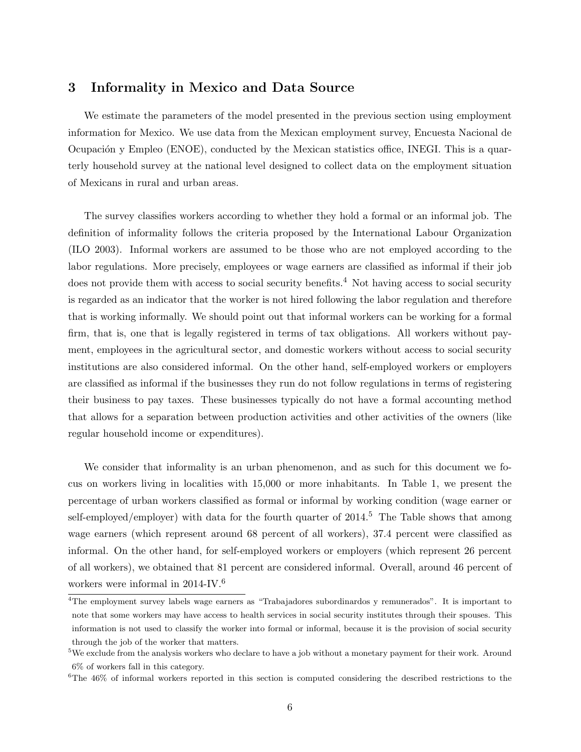#### 3 Informality in Mexico and Data Source

We estimate the parameters of the model presented in the previous section using employment information for Mexico. We use data from the Mexican employment survey, Encuesta Nacional de Ocupación y Empleo (ENOE), conducted by the Mexican statistics office, INEGI. This is a quarterly household survey at the national level designed to collect data on the employment situation of Mexicans in rural and urban areas.

The survey classifies workers according to whether they hold a formal or an informal job. The definition of informality follows the criteria proposed by the International Labour Organization (ILO 2003). Informal workers are assumed to be those who are not employed according to the labor regulations. More precisely, employees or wage earners are classified as informal if their job does not provide them with access to social security benefits.<sup>4</sup> Not having access to social security is regarded as an indicator that the worker is not hired following the labor regulation and therefore that is working informally. We should point out that informal workers can be working for a formal firm, that is, one that is legally registered in terms of tax obligations. All workers without payment, employees in the agricultural sector, and domestic workers without access to social security institutions are also considered informal. On the other hand, self-employed workers or employers are classified as informal if the businesses they run do not follow regulations in terms of registering their business to pay taxes. These businesses typically do not have a formal accounting method that allows for a separation between production activities and other activities of the owners (like regular household income or expenditures).

We consider that informality is an urban phenomenon, and as such for this document we focus on workers living in localities with 15,000 or more inhabitants. In Table 1, we present the percentage of urban workers classified as formal or informal by working condition (wage earner or self-employed/employer) with data for the fourth quarter of  $2014<sup>5</sup>$ . The Table shows that among wage earners (which represent around 68 percent of all workers), 37.4 percent were classified as informal. On the other hand, for self-employed workers or employers (which represent 26 percent of all workers), we obtained that 81 percent are considered informal. Overall, around 46 percent of workers were informal in  $2014$ -IV.<sup>6</sup>

<sup>&</sup>lt;sup>4</sup>The employment survey labels wage earners as "Trabajadores subordinardos y remunerados". It is important to note that some workers may have access to health services in social security institutes through their spouses. This information is not used to classify the worker into formal or informal, because it is the provision of social security through the job of the worker that matters.

<sup>&</sup>lt;sup>5</sup>We exclude from the analysis workers who declare to have a job without a monetary payment for their work. Around  $6\%$  of workers fall in this category.

 ${}^{6}$ The 46% of informal workers reported in this section is computed considering the described restrictions to the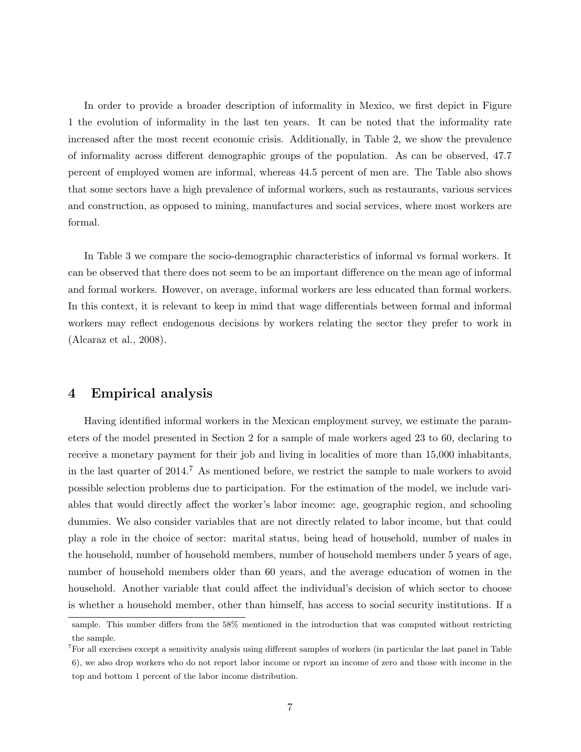In order to provide a broader description of informality in Mexico, we first depict in Figure 1 the evolution of informality in the last ten years. It can be noted that the informality rate increased after the most recent economic crisis. Additionally, in Table 2, we show the prevalence of informality across different demographic groups of the population. As can be observed, 47.7 percent of employed women are informal, whereas 44.5 percent of men are. The Table also shows that some sectors have a high prevalence of informal workers, such as restaurants, various services and construction, as opposed to mining, manufactures and social services, where most workers are formal.

In Table 3 we compare the socio-demographic characteristics of informal vs formal workers. It can be observed that there does not seem to be an important difference on the mean age of informal and formal workers. However, on average, informal workers are less educated than formal workers. In this context, it is relevant to keep in mind that wage differentials between formal and informal workers may reflect endogenous decisions by workers relating the sector they prefer to work in (Alcaraz et al.,  $2008$ ).

#### **Empirical analysis** 4

Having identified informal workers in the Mexican employment survey, we estimate the parameters of the model presented in Section 2 for a sample of male workers aged 23 to 60, declaring to receive a monetary payment for their job and living in localities of more than 15,000 inhabitants, in the last quarter of 2014.<sup>7</sup> As mentioned before, we restrict the sample to male workers to avoid possible selection problems due to participation. For the estimation of the model, we include variables that would directly affect the worker's labor income: age, geographic region, and schooling dummies. We also consider variables that are not directly related to labor income, but that could play a role in the choice of sector: marital status, being head of household, number of males in the household, number of household members, number of household members under 5 years of age, number of household members older than 60 years, and the average education of women in the household. Another variable that could affect the individual's decision of which sector to choose is whether a household member, other than himself, has access to social security institutions. If a

sample. This number differs from the 58% mentioned in the introduction that was computed without restricting the sample.

 ${}^{7}$  For all exercises except a sensitivity analysis using different samples of workers (in particular the last panel in Table 6), we also drop workers who do not report labor income or report an income of zero and those with income in the top and bottom 1 percent of the labor income distribution.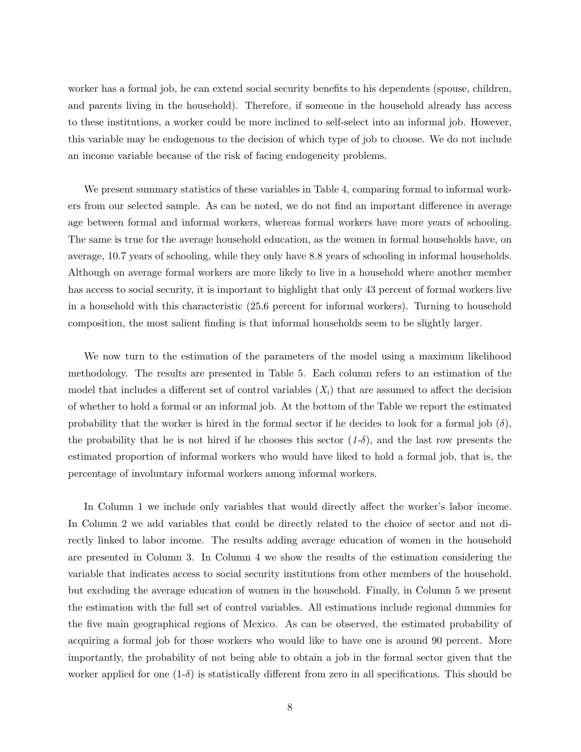worker has a formal job, he can extend social security benefits to his dependents (spouse, children, and parents living in the household). Therefore, if someone in the household already has access to these institutions, a worker could be more inclined to self-select into an informal job. However, this variable may be endogenous to the decision of which type of job to choose. We do not include an income variable because of the risk of facing endogeneity problems.

We present summary statistics of these variables in Table 4, comparing formal to informal workers from our selected sample. As can be noted, we do not find an important difference in average age between formal and informal workers, whereas formal workers have more years of schooling. The same is true for the average household education, as the women in formal households have, on average, 10.7 years of schooling, while they only have 8.8 years of schooling in informal households. Although on average formal workers are more likely to live in a household where another member has access to social security, it is important to highlight that only 43 percent of formal workers live in a household with this characteristic (25.6 percent for informal workers). Turning to household composition, the most salient finding is that informal households seem to be slightly larger.

We now turn to the estimation of the parameters of the model using a maximum likelihood methodology. The results are presented in Table 5. Each column refers to an estimation of the model that includes a different set of control variables  $(X_i)$  that are assumed to affect the decision of whether to hold a formal or an informal job. At the bottom of the Table we report the estimated probability that the worker is hired in the formal sector if he decides to look for a formal job  $(\delta)$ , the probability that he is not hired if he chooses this sector  $(1-\delta)$ , and the last row presents the estimated proportion of informal workers who would have liked to hold a formal job, that is, the percentage of involuntary informal workers among informal workers.

In Column 1 we include only variables that would directly affect the worker's labor income. In Column 2 we add variables that could be directly related to the choice of sector and not directly linked to labor income. The results adding average education of women in the household are presented in Column 3. In Column 4 we show the results of the estimation considering the variable that indicates access to social security institutions from other members of the household, but excluding the average education of women in the household. Finally, in Column 5 we present the estimation with the full set of control variables. All estimations include regional dummies for the five main geographical regions of Mexico. As can be observed, the estimated probability of acquiring a formal job for those workers who would like to have one is around 90 percent. More importantly, the probability of not being able to obtain a job in the formal sector given that the worker applied for one  $(1-\delta)$  is statistically different from zero in all specifications. This should be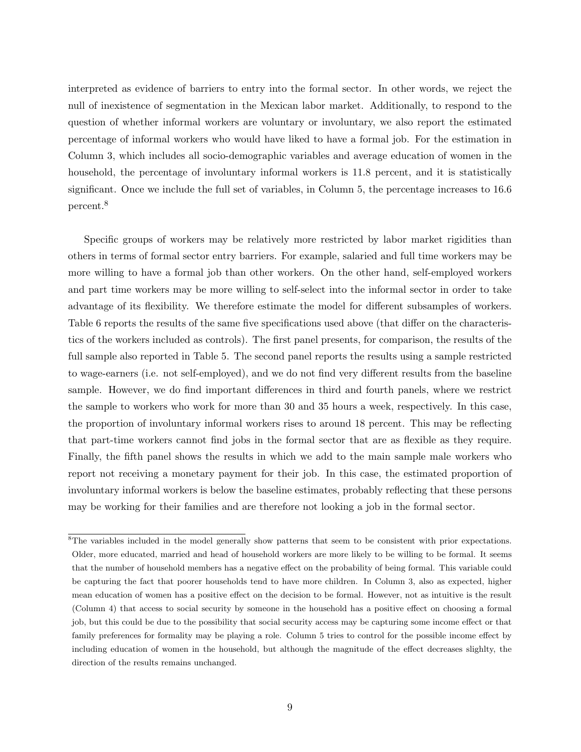interpreted as evidence of barriers to entry into the formal sector. In other words, we reject the null of inexistence of segmentation in the Mexican labor market. Additionally, to respond to the question of whether informal workers are voluntary or involuntary, we also report the estimated percentage of informal workers who would have liked to have a formal job. For the estimation in Column 3, which includes all socio-demographic variables and average education of women in the household, the percentage of involuntary informal workers is 11.8 percent, and it is statistically significant. Once we include the full set of variables, in Column 5, the percentage increases to 16.6 percent.<sup>8</sup>

Specific groups of workers may be relatively more restricted by labor market rigidities than others in terms of formal sector entry barriers. For example, salaried and full time workers may be more willing to have a formal job than other workers. On the other hand, self-employed workers and part time workers may be more willing to self-select into the informal sector in order to take advantage of its flexibility. We therefore estimate the model for different subsamples of workers. Table 6 reports the results of the same five specifications used above (that differ on the characteristics of the workers included as controls). The first panel presents, for comparison, the results of the full sample also reported in Table 5. The second panel reports the results using a sample restricted to wage-earners (i.e. not self-employed), and we do not find very different results from the baseline sample. However, we do find important differences in third and fourth panels, where we restrict the sample to workers who work for more than 30 and 35 hours a week, respectively. In this case, the proportion of involuntary informal workers rises to around 18 percent. This may be reflecting that part-time workers cannot find jobs in the formal sector that are as flexible as they require. Finally, the fifth panel shows the results in which we add to the main sample male workers who report not receiving a monetary payment for their job. In this case, the estimated proportion of involuntary informal workers is below the baseline estimates, probably reflecting that these persons may be working for their families and are therefore not looking a job in the formal sector.

 ${}^{8}$ The variables included in the model generally show patterns that seem to be consistent with prior expectations. Older, more educated, married and head of household workers are more likely to be willing to be formal. It seems that the number of household members has a negative effect on the probability of being formal. This variable could be capturing the fact that poorer households tend to have more children. In Column 3, also as expected, higher mean education of women has a positive effect on the decision to be formal. However, not as intuitive is the result (Column 4) that access to social security by someone in the household has a positive effect on choosing a formal job, but this could be due to the possibility that social security access may be capturing some income effect or that family preferences for formality may be playing a role. Column 5 tries to control for the possible income effect by including education of women in the household, but although the magnitude of the effect decreases slighlty, the direction of the results remains unchanged.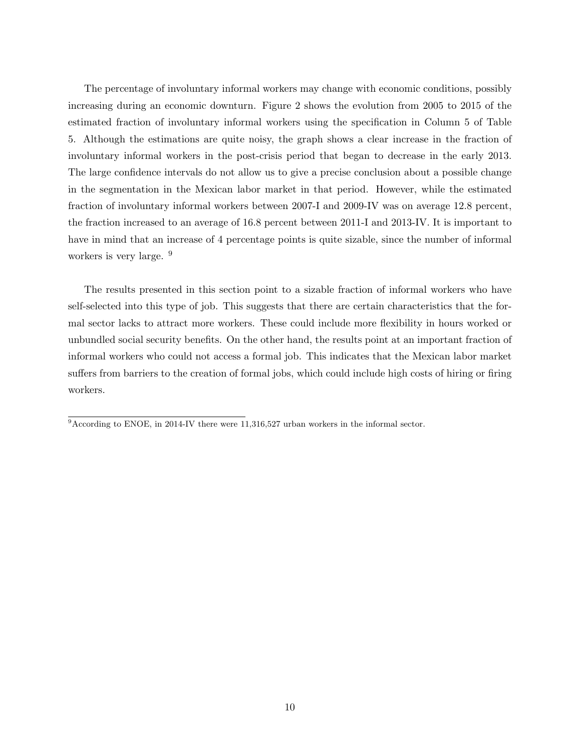The percentage of involuntary informal workers may change with economic conditions, possibly increasing during an economic downturn. Figure 2 shows the evolution from 2005 to 2015 of the estimated fraction of involuntary informal workers using the specification in Column 5 of Table 5. Although the estimations are quite noisy, the graph shows a clear increase in the fraction of involuntary informal workers in the post-crisis period that began to decrease in the early 2013. The large confidence intervals do not allow us to give a precise conclusion about a possible change in the segmentation in the Mexican labor market in that period. However, while the estimated fraction of involuntary informal workers between 2007-I and 2009-IV was on average 12.8 percent, the fraction increased to an average of 16.8 percent between 2011-I and 2013-IV. It is important to have in mind that an increase of 4 percentage points is quite sizable, since the number of informal workers is very large.  $9$ 

The results presented in this section point to a sizable fraction of informal workers who have self-selected into this type of job. This suggests that there are certain characteristics that the formal sector lacks to attract more workers. These could include more flexibility in hours worked or unbundled social security benefits. On the other hand, the results point at an important fraction of informal workers who could not access a formal job. This indicates that the Mexican labor market suffers from barriers to the creation of formal jobs, which could include high costs of hiring or firing workers.

 $\frac{1}{9}$ According to ENOE, in 2014-IV there were 11,316,527 urban workers in the informal sector.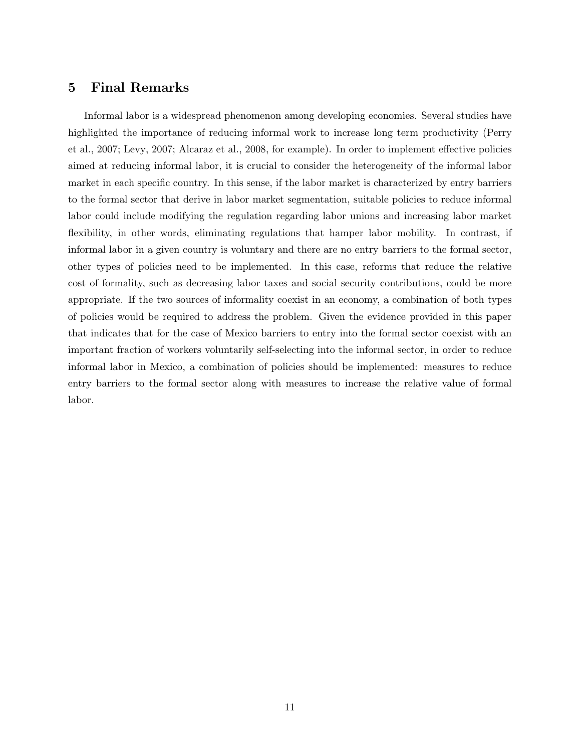#### $\overline{5}$ **Final Remarks**

Informal labor is a widespread phenomenon among developing economies. Several studies have highlighted the importance of reducing informal work to increase long term productivity (Perry et al., 2007; Levy, 2007; Alcaraz et al., 2008, for example). In order to implement effective policies aimed at reducing informal labor, it is crucial to consider the heterogeneity of the informal labor market in each specific country. In this sense, if the labor market is characterized by entry barriers to the formal sector that derive in labor market segmentation, suitable policies to reduce informal labor could include modifying the regulation regarding labor unions and increasing labor market flexibility, in other words, eliminating regulations that hamper labor mobility. In contrast, if informal labor in a given country is voluntary and there are no entry barriers to the formal sector, other types of policies need to be implemented. In this case, reforms that reduce the relative cost of formality, such as decreasing labor taxes and social security contributions, could be more appropriate. If the two sources of informality coexist in an economy, a combination of both types of policies would be required to address the problem. Given the evidence provided in this paper that indicates that for the case of Mexico barriers to entry into the formal sector coexist with an important fraction of workers voluntarily self-selecting into the informal sector, in order to reduce informal labor in Mexico, a combination of policies should be implemented: measures to reduce entry barriers to the formal sector along with measures to increase the relative value of formal labor.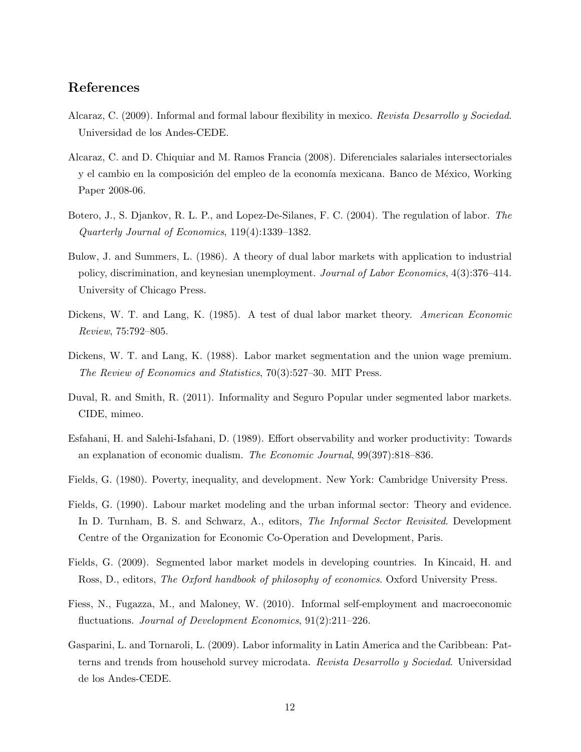## References

- Alcaraz, C. (2009). Informal and formal labour flexibility in mexico. Revista Desarrollo y Sociedad. Universidad de los Andes-CEDE.
- Alcaraz, C. and D. Chiquiar and M. Ramos Francia (2008). Diferenciales salariales intersectoriales y el cambio en la composición del empleo de la economía mexicana. Banco de México, Working Paper 2008-06.
- Botero, J., S. Djankov, R. L. P., and Lopez-De-Silanes, F. C. (2004). The regulation of labor. The Quarterly Journal of Economics, 119(4):1339–1382.
- Bulow, J. and Summers, L. (1986). A theory of dual labor markets with application to industrial policy, discrimination, and keynesian unemployment. Journal of Labor Economics, 4(3):376–414. University of Chicago Press.
- Dickens, W. T. and Lang, K. (1985). A test of dual labor market theory. American Economic Review, 75:792-805.
- Dickens, W. T. and Lang, K. (1988). Labor market segmentation and the union wage premium. *The Review of Economics and Statistics, 70(3):527–30.* MIT Press.
- Duval, R. and Smith, R. (2011). Informality and Seguro Popular under segmented labor markets. CIDE, mimeo.
- Esfahani, H. and Salehi-Isfahani, D. (1989). Effort observability and worker productivity: Towards an explanation of economic dualism. The Economic Journal, 99(397):818–836.
- Fields, G. (1980). Poverty, inequality, and development. New York: Cambridge University Press.
- Fields, G. (1990). Labour market modeling and the urban informal sector: Theory and evidence. In D. Turnham, B. S. and Schwarz, A., editors, The Informal Sector Revisited. Development Centre of the Organization for Economic Co-Operation and Development, Paris.
- Fields, G. (2009). Segmented labor market models in developing countries. In Kincaid, H. and Ross, D., editors, The Oxford handbook of philosophy of economics. Oxford University Press.
- Fiess, N., Fugazza, M., and Maloney, W. (2010). Informal self-employment and macroeconomic fluctuations. Journal of Development Economics,  $91(2):211-226$ .
- Gasparini, L. and Tornaroli, L. (2009). Labor informality in Latin America and the Caribbean: Patterns and trends from household survey microdata. Revista Desarrollo y Sociedad. Universidad de los Andes-CEDE.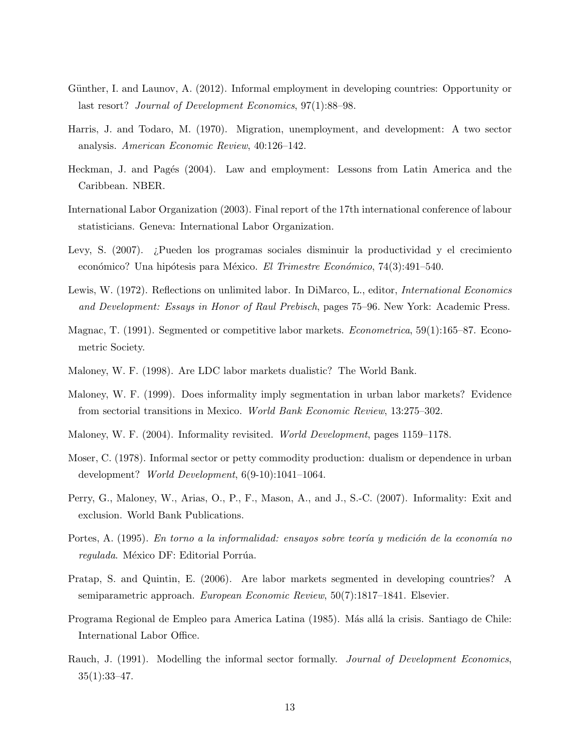- Günther, I. and Launov, A. (2012). Informal employment in developing countries: Opportunity or last resort? *Journal of Development Economics*, 97(1):88–98.
- Harris, J. and Todaro, M. (1970). Migration, unemployment, and development: A two sector analysis. American Economic Review, 40:126-142.
- Heckman, J. and Pagés (2004). Law and employment: Lessons from Latin America and the Caribbean. NBER.
- International Labor Organization (2003). Final report of the 17th international conference of labour statisticians. Geneva: International Labor Organization.
- Levy, S. (2007). ¿Pueden los programas sociales disminuir la productividad y el crecimiento económico? Una hipótesis para México. El Trimestre Económico, 74(3):491-540.
- Lewis, W. (1972). Reflections on unlimited labor. In DiMarco, L., editor, *International Economics* and Development: Essays in Honor of Raul Prebisch, pages 75–96. New York: Academic Press.
- Magnac, T. (1991). Segmented or competitive labor markets. *Econometrica*, 59(1):165–87. Econometric Society.
- Maloney, W. F. (1998). Are LDC labor markets dualistic? The World Bank.
- Maloney, W. F. (1999). Does informality imply segmentation in urban labor markets? Evidence from sectorial transitions in Mexico. World Bank Economic Review, 13:275-302.
- Maloney, W. F. (2004). Informality revisited. World Development, pages 1159–1178.
- Moser, C. (1978). Informal sector or petty commodity production: dualism or dependence in urban development? World Development, 6(9-10):1041-1064.
- Perry, G., Maloney, W., Arias, O., P., F., Mason, A., and J., S.-C. (2007). Informality: Exit and exclusion. World Bank Publications.
- Portes, A. (1995). En torno a la informalidad: ensayos sobre teoría y medición de la economía no regulada. México DF: Editorial Porrúa.
- Pratap, S. and Quintin, E. (2006). Are labor markets segmented in developing countries? A semiparametric approach. European Economic Review, 50(7):1817–1841. Elsevier.
- Programa Regional de Empleo para America Latina (1985). Más allá la crisis. Santiago de Chile: International Labor Office.
- Rauch, J. (1991). Modelling the informal sector formally. Journal of Development Economics,  $35(1):33-47.$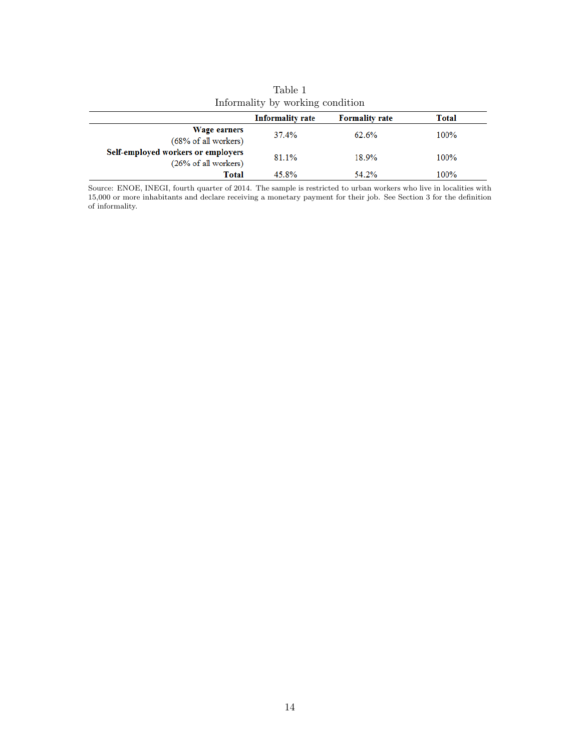| Informative by working condition                                      |                         |                       |       |  |
|-----------------------------------------------------------------------|-------------------------|-----------------------|-------|--|
|                                                                       | <b>Informality rate</b> | <b>Formality rate</b> | Total |  |
| Wage earners<br>(68% of all workers)                                  | 37.4%                   | 62.6%                 | 100%  |  |
| Self-employed workers or employers<br>$(26\% \text{ of all workers})$ | 81.1%                   | 18.9%                 | 100%  |  |
| Total                                                                 | 45.8%                   | 54.2%                 | 100%  |  |

Table 1<br>rmality by workin  $Inf<sub>0</sub>$  $\overline{dist}$ 

Source: ENOE, INEGI, fourth quarter of 2014. The sample is restricted to urban workers who live in localities with 15,000 or more inhabitants and declare receiving a monetary payment for their job. See Section 3 for the de  $% \left\vert \left( \mathbf{r},\mathbf{r}^{\prime }\right) \right\rangle$  of informality.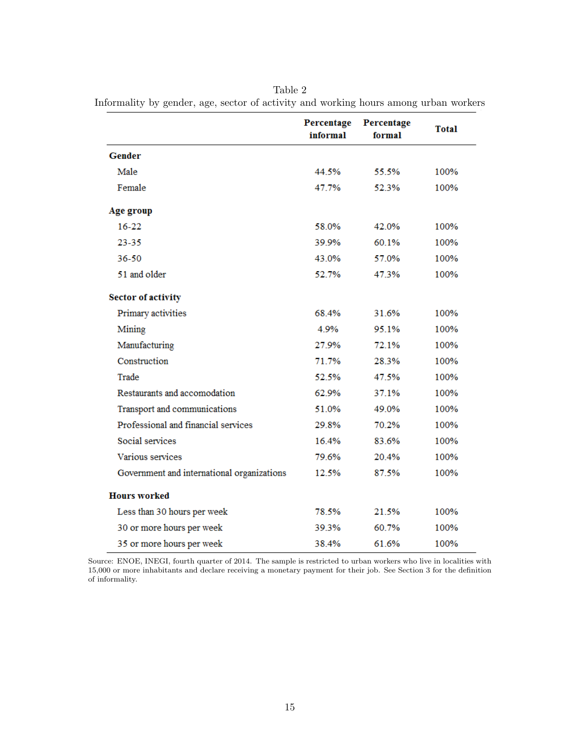Percentage Percentage **Total** informal formal **Gender** Male 44.5% 55.5% 100% Female 47.7% 52.3% 100% Age group  $16 - 22$ 58.0% 42.0% 100%  $23 - 35$ 39.9% 100% 60.1% 36-50 57.0% 43.0% 100% 51 and older 52.7% 47.3% 100% **Sector of activity** Primary activities 68.4% 31.6% 100% 4.9% 95.1% 100% Mining 27.9% Manufacturing 72.1% 100% Construction 71.7% 28.3% 100% Trade 52.5% 47.5% 100% Restaurants and accomodation 62.9% 37.1% 100% Transport and communications 51.0% 49.0% 100% Professional and financial services 29.8% 70.2% 100% Social services 16.4% 83.6% 100% Various services 79.6% 20.4% 100% 87.5% Government and international organizations 12.5% 100% **Hours** worked Less than 30 hours per week 78.5% 21.5% 100% 30 or more hours per week 39.3% 60.7% 100% 61.6% 100% 35 or more hours per week 38.4%

Table 2 Informality by gender, age, sector of activity and working hours among urban workers

Source: ENOE, INEGI, fourth quarter of 2014. The sample is restricted to urban workers who live in localities with 15,000 or more inhabitants and declare receiving a monetary payment for their job. See Section 3 for the definition of informality.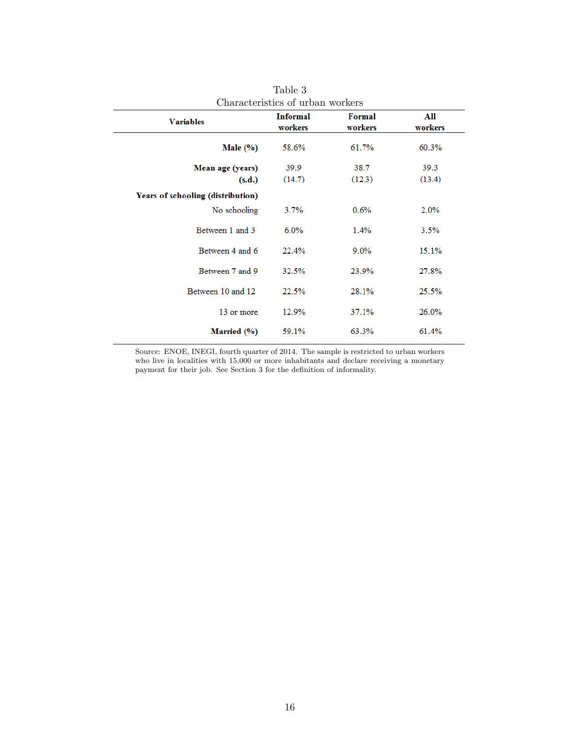| Characteristics of urban workers                         |                            |                   |                |  |
|----------------------------------------------------------|----------------------------|-------------------|----------------|--|
| <b>Variables</b>                                         | <b>Informal</b><br>workers | Formal<br>workers | All<br>workers |  |
| Male $(\% )$                                             | 58.6%                      | 61.7%             | 60.3%          |  |
| Mean age (years)<br>(s.d.)                               | 39.9<br>(14.7)             | 38.7<br>(12.3)    | 39.3<br>(13.4) |  |
| <b>Years of schooling (distribution)</b><br>No schooling | 3.7%                       | 0.6%              | 2.0%           |  |
| Between 1 and 3                                          | 6.0%                       | 1.4%              | 3.5%           |  |
| Between 4 and 6                                          | 22.4%                      | $9.0\%$           | 15.1%          |  |
| Between 7 and 9                                          | 32.5%                      | 23.9%             | 27.8%          |  |
| Between 10 and 12                                        | 22.5%                      | 28.1%             | 25.5%          |  |
| 13 or more                                               | 12.9%                      | 37.1%             | 26.0%          |  |
| Married (%)                                              | 59.1%                      | 63.3%             | 61.4%          |  |

Table  $3$ 

Source: ENOE, INEGI, fourth quarter of 2014. The sample is restricted to urban workers who live in localities with  $15,000$  or more inhabitants and declare receiving a monetary payment for their job. See Section  $3$  for the definition of informality.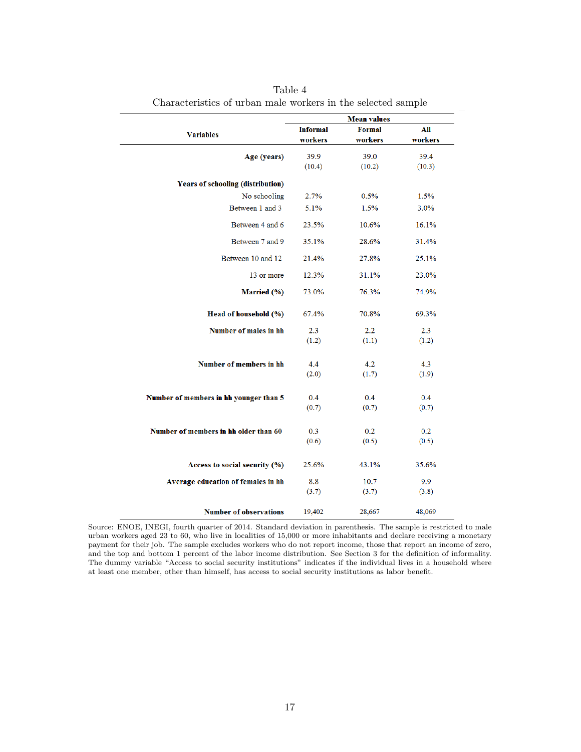|                                          | <b>Mean values</b> |               |         |  |
|------------------------------------------|--------------------|---------------|---------|--|
| <b>Variables</b>                         | <b>Informal</b>    | <b>Formal</b> | All     |  |
|                                          | workers            | workers       | workers |  |
| Age (years)                              | 39.9               | 39.0          | 39.4    |  |
|                                          | (10.4)             | (10.2)        | (10.3)  |  |
| <b>Years of schooling (distribution)</b> |                    |               |         |  |
| No schooling                             | 2.7%               | 0.5%          | 1.5%    |  |
| Between 1 and 3                          | 5.1%               | 1.5%          | 3.0%    |  |
| Between 4 and 6                          | 23.5%              | 10.6%         | 16.1%   |  |
| Between 7 and 9                          | 35.1%              | 28.6%         | 31.4%   |  |
| Between 10 and 12                        | 21.4%              | 27.8%         | 25.1%   |  |
| 13 or more                               | 12.3%              | 31.1%         | 23.0%   |  |
| Married (%)                              | 73.0%              | 76.3%         | 74.9%   |  |
| Head of household (%)                    | 67.4%              | 70.8%         | 69.3%   |  |
| <b>Number of males in hh</b>             | 2.3                | 2.2           | 2.3     |  |
|                                          | (1.2)              | (1.1)         | (1.2)   |  |
| <b>Number of members in hh</b>           | 4.4                | 4.2           | 4.3     |  |
|                                          | (2.0)              | (1.7)         | (1.9)   |  |
|                                          |                    |               |         |  |
| Number of members in hh younger than 5   | 0.4                | 0.4           | 0.4     |  |
|                                          | (0.7)              | (0.7)         | (0.7)   |  |
|                                          |                    |               |         |  |
| Number of members in hh older than 60    | 0.3                | 0.2           | 0.2     |  |
|                                          | (0.6)              | (0.5)         | (0.5)   |  |
|                                          |                    |               |         |  |
| Access to social security (%)            | 25.6%              | 43.1%         | 35.6%   |  |
| Average education of females in hh       | 8.8                | 10.7          | 9.9     |  |
|                                          | (3.7)              | (3.7)         | (3.8)   |  |
|                                          |                    |               |         |  |
| <b>Number of observations</b>            | 19,402             | 28,667        | 48,069  |  |

Table 4 Characteristics of urban male workers in the selected sample

Source: ENOE, INEGI, fourth quarter of 2014. Standard deviation in parenthesis. The sample is restricted to male urban workers aged 23 to 60, who live in localities of 15,000 or more inhabitants and declare receiving a monetary payment for their job. The sample excludes workers who do not report income, those that report an income of zero, and the top and bottom 1 percent of the labor income distribution. See Section 3 for the definition of informality. The dummy variable "Access to social security institutions" indicates if the individual lives in a household where at least one member, other than himself, has access to social security institutions as labor benefit.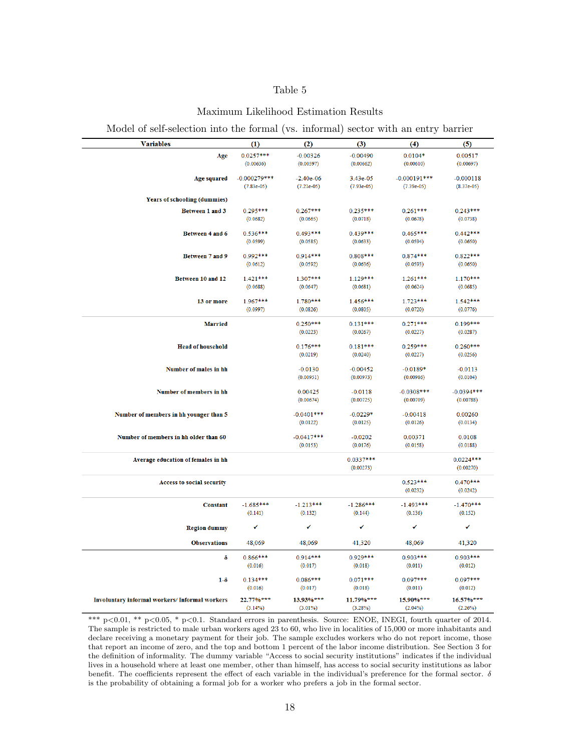## Table 5

### Maximum Likelihood Estimation Results

Model of self-selection into the formal (vs. informal) sector with an entry barrier

| <b>Variables</b>                              | (1)                    | (2)                         | (3)                    | (4)                    | (5)                         |
|-----------------------------------------------|------------------------|-----------------------------|------------------------|------------------------|-----------------------------|
| Age                                           | $0.0257***$            | $-0.00326$                  | $-0.00490$             | $0.0104*$              | 0.00517                     |
|                                               | (0.00636)              | (0.00597)                   | (0.00662)              | (0.00610)              | (0.00697)                   |
|                                               | $-0.000279$ ***        |                             | 3.43e-05               | $-0.000191***$         |                             |
| <b>Age squared</b>                            | $(7.83e-05)$           | $-2.40e-06$<br>$(7.21e-05)$ | $(7.93e-05)$           | $(7.39e-05)$           | $-0.000118$<br>$(8.37e-05)$ |
|                                               |                        |                             |                        |                        |                             |
| <b>Years of schooling (dummies)</b>           |                        |                             |                        |                        |                             |
| Between 1 and 3                               | $0.295***$             | $0.267***$                  | $0.235***$             | $0.261***$             | $0.243***$                  |
|                                               | (0.0682)               | (0.0665)                    | (0.0718)               | (0.0678)               | (0.0738)                    |
| Between 4 and 6                               | $0.536***$             | $0.493***$                  | 0.439***               | $0.465***$             | $0.442***$                  |
|                                               | (0.0599)               | (0.0585)                    | (0.0633)               | (0.0594)               | (0.0650)                    |
| <b>Between 7 and 9</b>                        | $0.992***$             | $0.914***$                  | $0.808***$             | $0.874***$             | $0.822***$                  |
|                                               | (0.0612)               | (0.0592)                    | (0.0636)               | (0.0593)               | (0.0650)                    |
|                                               |                        |                             |                        |                        |                             |
| Between 10 and 12                             | $1.421***$             | 1.307***                    | 1.129***               | $1.261***$             | $1.170***$                  |
|                                               | (0.0688)               | (0.0647)                    | (0.0681)               | (0.0624)               | (0.0685)                    |
| 13 or more                                    | $1.967***$             | 1.780***                    | 1.456***               | $1.723***$             | $1.542***$                  |
|                                               | (0.0997)               | (0.0826)                    | (0.0805)               | (0.0720)               | (0.0776)                    |
| <b>Married</b>                                |                        | $0.250***$                  | $0.131***$             | $0.271***$             | $0.199***$                  |
|                                               |                        | (0.0223)                    | (0.0267)               | (0.0227)               | (0.0287)                    |
|                                               |                        |                             |                        |                        |                             |
| <b>Head of household</b>                      |                        | $0.176***$<br>(0.0219)      | $0.181***$<br>(0.0240) | $0.259***$<br>(0.0227) | $0.260***$<br>(0.0256)      |
|                                               |                        |                             |                        |                        |                             |
| Number of males in hh                         |                        | $-0.0130$                   | $-0.00452$             | $-0.0189*$             | $-0.0113$                   |
|                                               |                        | (0.00951)                   | (0.00973)              | (0.00986)              | (0.0104)                    |
| Number of members in hh                       |                        | 0.00425                     | $-0.0118$              | $-0.0308$ ***          | $-0.0394***$                |
|                                               |                        | (0.00674)                   | (0.00725)              | (0.00709)              | (0.00788)                   |
|                                               |                        |                             |                        |                        |                             |
| Number of members in hh younger than 5        |                        | $-0.0401***$<br>(0.0122)    | $-0.0229*$<br>(0.0125) | $-0.00418$<br>(0.0126) | 0.00260<br>(0.0134)         |
|                                               |                        |                             |                        |                        |                             |
| Number of members in hh older than 60         |                        | $-0.0417***$                | $-0.0202$              | 0.00371                | 0.0108                      |
|                                               |                        | (0.0153)                    | (0.0176)               | (0.0158)               | (0.0188)                    |
| Average education of females in hh            |                        |                             | $0.0337***$            |                        | $0.0224***$                 |
|                                               |                        |                             | (0.00273)              |                        | (0.00270)                   |
| <b>Access to social security</b>              |                        |                             |                        | $0.523***$             | $0.470***$                  |
|                                               |                        |                             |                        | (0.0232)               | (0.0242)                    |
|                                               |                        |                             |                        |                        |                             |
| Constant                                      | $-1.685***$<br>(0.141) | $-1.213***$                 | $-1.286***$            | $-1.493***$            | $-1.470***$                 |
|                                               |                        | (0.132)                     | (0.144)                | (0.136)                | (0.152)                     |
| <b>Region dummy</b>                           | ✔                      | ✔                           | ✔                      | ✔                      | ✔                           |
|                                               |                        |                             |                        |                        |                             |
| <b>Observations</b>                           | 48,069                 | 48,069                      | 41,320                 | 48,069                 | 41,320                      |
| δ                                             | $0.866***$             | $0.914***$                  | $0.929***$             | $0.903***$             | 0.903 ***                   |
|                                               | (0.016)                | (0.017)                     | (0.018)                | (0.011)                | (0.012)                     |
| $1-\delta$                                    | $0.134***$             | $0.086***$                  | $0.071***$             | $0.097***$             | $0.097***$                  |
|                                               | (0.016)                | (0.017)                     | (0.018)                | (0.011)                | (0.012)                     |
| Involuntary informal workers/Informal workers | $22.77%***$            | 13.93%***                   | $11.79\%***$           | 15.90%***              | $16.57%***$                 |
|                                               | $(3.14\%)$             | $(3.01\%)$                  | $(3.28\%)$             | $(2.04\%)$             | $(2.26\%)$                  |

\*\*\* p<0.01, \*\* p<0.05, \* p<0.1. Standard errors in parenthesis. Source: ENOE, INEGI, fourth quarter of 2014. The sample is restricted to male urban workers aged 23 to 60, who live in localities of 15,000 or more inhabitants and declare receiving a monetary payment for their job. The sample excludes workers who do not report income, those that report an income of zero, and the top and bottom 1 percent of the labor income distribution. See Section 3 for the definition of informality. The dummy variable "Access to social security institutions" indicates if the individual lives in a household where at least one member, other than himself, has access to social security institutions as labor benefit. The coefficients represent the effect of each variable in the individual's preference for the formal sector.  $\delta$ is the probability of obtaining a formal job for a worker who prefers a job in the formal sector.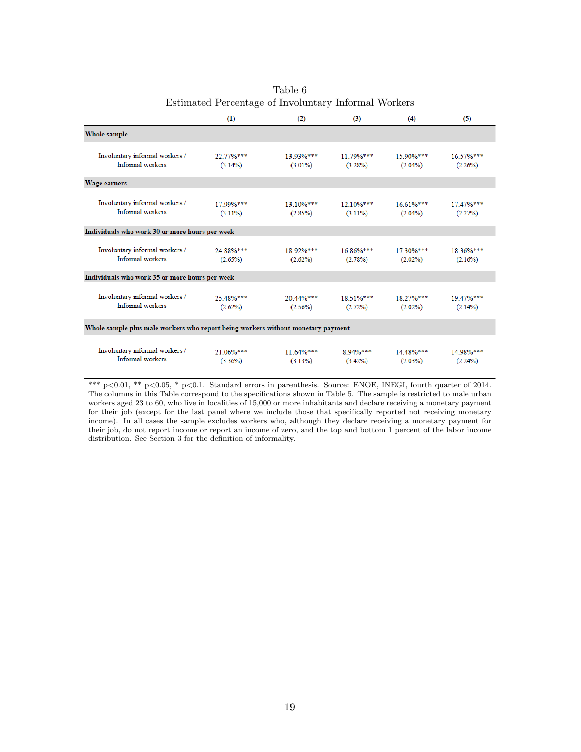|                                                                                  | (1)                     | (2)                     | (3)                                                | (4)                              | (5)                     |
|----------------------------------------------------------------------------------|-------------------------|-------------------------|----------------------------------------------------|----------------------------------|-------------------------|
| Whole sample                                                                     |                         |                         |                                                    |                                  |                         |
| Involuntary informal workers /<br>Informal workers                               | 22.77%***<br>$(3.14\%)$ | 13.93%***<br>$(3.01\%)$ | $11.79\%***$<br>$(3.28\%)$                         | $15.90\%***$<br>$(2.04\%)$       | 16.57%***<br>(2.26%)    |
| Wage earners                                                                     |                         |                         |                                                    |                                  |                         |
| Involuntary informal workers /<br>Informal workers                               | 17.99%***<br>$(3.11\%)$ | (2.85%)                 | $13.10\%***$ $12.10\%***$<br>$(3.11\%)$            | $16.61\%***$<br>$(2.04\%)$       | $17.47\%***$<br>(2.27%) |
| Individuals who work 30 or more hours per week                                   |                         |                         |                                                    |                                  |                         |
| Involuntary informal workers /<br>Informal workers                               | 24 88%***<br>$(2.65\%)$ | 18.92%***<br>$(2.62\%)$ | $16.86\%***$<br>$(2.78\%)$                         | $17.30\%***$<br>$(2.02\%)$       | 18.36%***<br>(2.16%)    |
| Individuals who work 35 or more hours per week                                   |                         |                         |                                                    |                                  |                         |
| Involuntary informal workers /<br>Informal workers                               | 25.48%***<br>(2.62%)    |                         | $20.44\%***$ $18.51\%***$<br>$(2.56\%)$ $(2.72\%)$ | 18.27%***<br>$(2.02\%)$          | 19.47%***<br>$(2.14\%)$ |
| Whole sample plus male workers who report being workers without monetary payment |                         |                         |                                                    |                                  |                         |
| Involuntary informal workers /<br>Informal workers                               | 21.06%***<br>$(3.36\%)$ | $11.64\%***$<br>(3.13%) | $(3.42\%)$                                         | $8.94\%***$ 14.48%***<br>(2.03%) | 14.98%***<br>(2.24%)    |

|                                                      | Table 6 |  |
|------------------------------------------------------|---------|--|
| Estimated Percentage of Involuntary Informal Workers |         |  |

\*\*\*  $p<0.01$ , \*\*  $p<0.05$ , \*  $p<0.1$ . Standard errors in parenthesis. Source: ENOE, INEGI, fourth quarter of 2014. The columns in this Table correspond to the specifications shown in Table 5. The sample is restricted to male urban workers aged 23 to 60, who live in localities of 15,000 or more inhabitants and declare receiving a monetary payment for their job (except for the last panel where we include those that specifically reported not receiving monetary income). In all cases the sample excludes workers who, although they declare receiving a monetary payment for their job, do not report income or report an income of zero, and the top and bottom 1 percent of the labor income distribution. See Section  $3$  for the definition of informality.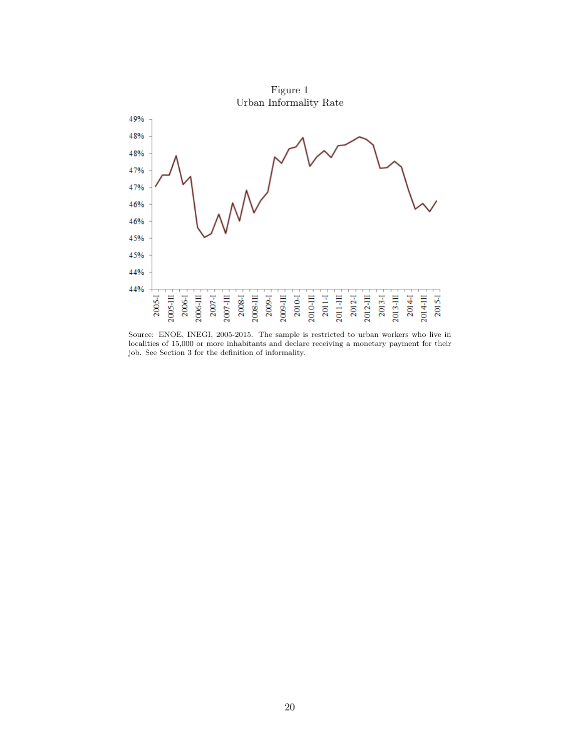

Source: ENOE, INEGI, 2005-2015. The sample is restricted to urban workers who live in localities of 15,000 or more inhabitants and declare receiving a monetary payment for their job. See Section  $3$  for the definition of informality.